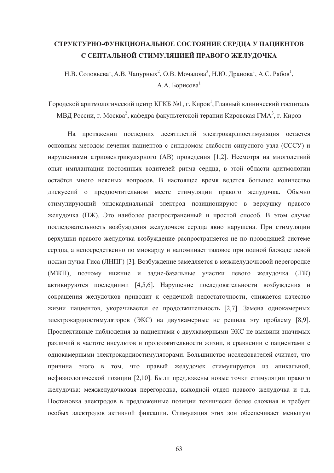# **ɋɌɊɍɄɌɍɊɇɈ-ɎɍɇɄɐɂɈɇȺɅɖɇɈȿ ɋɈɋɌɈəɇɂȿ ɋȿɊȾɐȺ ɍ ɉȺɐɂȿɇɌɈȼ**  С СЕПТАЛЬНОЙ СТИМУЛЯЦИЕЙ ПРАВОГО ЖЕЛУДОЧКА

Н.В. Соловьева<sup>1</sup>, А.В. Чапурных<sup>2</sup>, О.В. Мочалова<sup>3</sup>, Н.Ю. Дранова<sup>1</sup>, А.С. Рябов<sup>1</sup>,  $A.A.$  Борисова<sup>1</sup>

Городской аритмологический центр КГКБ №1, г. Киров<sup>1</sup>, Главный клинический госпиталь МВД России, г. Москва<sup>2</sup>, кафедра факультетской терапии Кировская ГМА<sup>3</sup>, г. Киров

На протяжении последних десятилетий электрокардиостимуляция остается основным методом лечения пациентов с синдромом слабости синусного узла (СССУ) и нарушениями атриовентрикулярного (AB) проведения [1,2]. Несмотря на многолетний опыт имплантации постоянных водителей ритма сердца, в этой области аритмологии остаётся много неясных вопросов. В настоящее время ведется большое количество дискуссий о предпочтительном месте стимуляции правого желудочка. Обычно стимулирующий эндокардиальный электрод позиционируют в верхушку правого желудочка (ПЖ). Это наиболее распространенный и простой способ. В этом случае последовательность возбуждения желудочков сердца явно нарушена. При стимуляции верхушки правого желудочка возбуждение распространяется не по проводящей системе сердца, а непосредственно по миокарду и напоминает таковое при полной блокаде левой ножки пучка Гиса (ЛНПГ) [3]. Возбуждение замедляется в межжелудочковой перегородке (МЖП), поэтому нижние и задне-базальные участки левого желудочка (ЛЖ) активируются последними [4,5,6]. Нарушение последовательности возбуждения и сокращения желудочков приводит к сердечной недостаточности, снижается качество жизни пациентов, укорачивается ее продолжительность [2,7]. Замена однокамерных электрокардиостимуляторов (ЭКС) на двухкамерные не решила эту проблему [8,9]. Проспективные наблюдения за пациентами с двухкамерными ЭКС не выявили значимых различий в частоте инсультов и продолжительности жизни, в сравнении с пациентами с однокамерными электрокардиостимуляторами. Большинство исследователей считает, что причина этого в том, что правый желудочек стимулируется из апикальной, нефизиологической позиции [2,10]. Были предложены новые точки стимуляции правого желудочка: межжелудочковая перегородка, выходной отдел правого желудочка и т.д. Постановка электродов в предложенные позиции технически более сложная и требует особых электродов активной фиксации. Стимуляция этих зон обеспечивает меньшую

63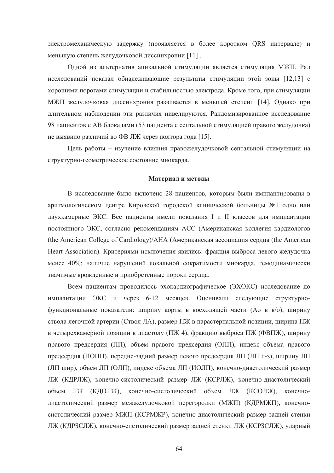электромеханическую задержку (проявляется в более коротком QRS интервале) и меньшую степень желудочковой диссинхронии [11].

Одной из альтернатив апикальной стимуляции является стимуляция МЖП. Ряд исследований показал обнадеживающие результаты стимуляции этой зоны [12,13] с хорошими порогами стимуляции и стабильностью электрода. Кроме того, при стимуляции МЖП желулочковая лиссинхрония развивается в меньшей степени [14]. Однако при длительном наблюдении эти различия нивелируются. Рандомизированное исследование 98 пациентов с АВ блокадами (53 пациента с септальной стимуляцией правого желудочка) не выявило различий во ФВ ЛЖ через полтора года [15].

Цель работы – изучение влияния правожелудочковой септальной стимуляции на структурно-геометрическое состояние миокарда.

#### **Материал и методы**

В исследование было включено 28 пациентов, которым были имплантированы в аритмологическом центре Кировской городской клинической больницы №1 одно или двухкамерные ЭКС. Все пациенты имели показания I и II классов для имплантации постоянного ЭКС, согласно рекомендациям АСС (Американская коллегия кардиологов (the American College of Cardiology)/АНА (Американская ассоциация сердца (the American Heart Association). Критериями исключения явились: фракция выброса левого желудочка менее 40%; наличие нарушений локальной сократимости миокарда, гемодинамически значимые врожденные и приобретенные пороки сердца.

Всем пациентам проводилось эхокардиографическое (ЭХОКС) исследование до имплантации ЭКС и через 6-12 месяцев. Оценивали следующие структурнофункциональные показатели: ширину аорты в восходящей части (Ао в в/о), ширину ствола легочной артерии (Ствол ЛА), размер ПЖ в парастернальной позиции, ширина ПЖ в четырехкамерной позиции в диастолу (ПЖ 4), фракцию выброса ПЖ (ФВПЖ), ширину правого предсердия (ПП), объем правого предсердия (ОПП), индекс объема правого предсердия (ИОПП), передне-задний размер левого предсердия ЛП (ЛП п-з), ширину ЛП (ЛП шир), объем ЛП (ОЛП), индекс объема ЛП (ИОЛП), конечно-диастолический размер ЛЖ (КДРЛЖ), конечно-систолический размер ЛЖ (КСРЛЖ), конечно-диастолический объем ЛЖ (КДОЛЖ), конечно-систолический объем ЛЖ (КСОЛЖ), конечнодиастолический размер межжелудочковой перегородки (МЖП) (КДРМЖП), конечносистолический размер МЖП (КСРМЖР), конечно-диастолический размер задней стенки ЛЖ (КДРЗСЛЖ), конечно-систолический размер задней стенки ЛЖ (КСРЗСЛЖ), ударный

64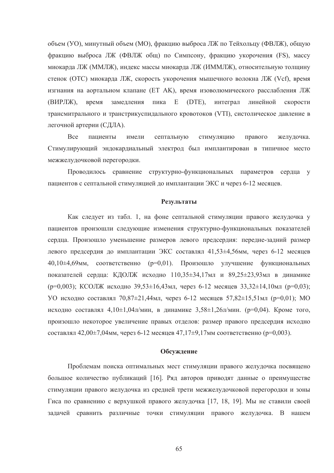объем (УО), минутный объем (МО), фракцию выброса ЛЖ по Тейхольцу (ФВЛЖ), общую фракцию выброса ЛЖ (ФВЛЖ общ) по Симпсону, фракцию укорочения (FS), массу миокарда ЛЖ (ММЛЖ), индекс массы миокарда ЛЖ (ИММЛЖ), относительную толщину стенок (ОТС) миокарда ЛЖ, скорость укорочения мышечного волокна ЛЖ (Vcf), время изгнания на аортальном клапане (ЕТ АК), время изоволюмического расслабления ЛЖ (ВИРЛЖ), время замедления пика Е (DTE), интеграл линейной скорости трансмитрального и транстрикуспидального кровотоков (VTI), систолическое давление в легочной артерии (СДЛА).

Все пациенты имели септальную стимуляцию правого желудочка. Стимулирующий эндокардиальный электрод был имплантирован в типичное место межжелудочковой перегородки.

Проводилось сравнение структурно-функциональных параметров сердца у пациентов с септальной стимуляцией до имплантации ЭКС и через 6-12 месяцев.

## Результаты

Как следует из табл. 1, на фоне септальной стимуляции правого желудочка у пациентов произошли следующие изменения структурно-функциональных показателей сердца. Произошло уменьшение размеров левого предсердия: передне-задний размер левого предсердия до имплантации ЭКС составлял 41,53±4,56мм, через 6-12 месяцев  $40,10\pm4,69$ мм, соответственно ( $p=0.01$ ). Произошло улучшение функциональных показателей сердца: КДОЛЖ исходно 110,35±34,17мл и 89,25±23,93мл в динамике  $(p=0.003)$ ; KCOJIX исходно 39,53±16,43мл, через 6-12 месяцев 33,32±14,10мл ( $p=0.03$ ); УО исходно составлял  $70.87 \pm 21.44$ мл, через 6-12 месяцев 57,82 $\pm 15.51$ мл ( $p=0.01$ ); МО исходно составлял 4,10 $\pm$ 1,04л/мин, в динамике 3,58 $\pm$ 1,26л/мин. (р=0,04). Кроме того, произошло некоторое увеличение правых отделов: размер правого предсердия исходно составлял 42,00 $\pm$ 7,04мм, через 6-12 месяцев 47,17 $\pm$ 9,17мм соответственно (р=0,003).

#### Обсуждение

Проблемам поиска оптимальных мест стимуляции правого желудочка посвящено большое количество публикаций [16]. Ряд авторов приводят данные о преимуществе стимуляции правого желудочка из средней трети межжелудочковой перегородки и зоны Гиса по сравнению с верхушкой правого желудочка [17, 18, 19]. Мы не ставили своей задачей сравнить различные точки стимуляции правого желудочка. В нашем

65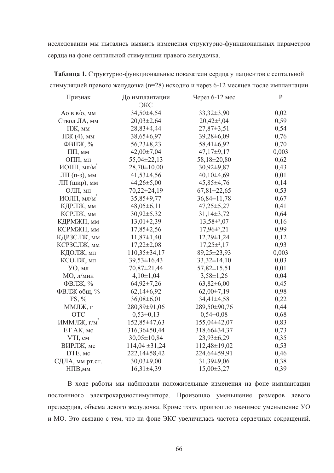исследовании мы пытались выявить изменения структурно-функциональных параметров сердца на фоне септальной стимуляции правого желудочка.

| Признак                               | До имплантации     | Через 6-12 мес      | $\, {\bf P}$ |
|---------------------------------------|--------------------|---------------------|--------------|
|                                       | ЭКС                |                     |              |
| AO B $B/O$ , MM                       | 34,50±4,54         | $33,32 \pm 3,90$    | 0,02         |
| Ствол ЛА, мм                          | $20,03\pm2,64$     | $20,42\pm^2,04$     | 0,59         |
| ПЖ, мм                                | 28,83±4,44         | $27,87 \pm 3,51$    | 0,54         |
| $\Pi$ Ж (4), мм                       | 38,65±6,97         | 39,28±6,09          | 0,76         |
| $\Phi$ BIT $\mathcal{K}, \mathcal{C}$ | $56,23\pm8,23$     | 58,41±6,92          | 0,70         |
| $\Pi$ $\Pi$ , мм                      | $42,00\pm7,04$     | $47,17\pm9,17$      | 0,003        |
| ОПП, мл                               | $55,04\pm 22,13$   | 58,18±20,80         | 0,62         |
| ИОПП, мл/м                            | $28,70 \pm 10,00$  | $30,92 \pm 9,87$    | 0,43         |
| ЛП $(\Pi - 3)$ , мм                   | $41,53\pm4,56$     | $40,10\pm4,69$      | 0,01         |
| ЛП (шир), мм                          | $44,26 \pm 5,00$   | $45,85\pm4,76$      | 0,14         |
| ОЛП, мл                               | $70,22\pm 24,19$   | $67,81 \pm 22,65$   | 0,53         |
| ИОЛП, мл/м                            | 35,85±9,77         | $36,84 \pm 11,78$   | 0,67         |
| КДРЛЖ, мм                             | $48,05\pm6,11$     | $47,25 \pm 5,27$    | 0,41         |
| КСРЛЖ, мм                             | $30,92 \pm 5,32$   | $31,14\pm3,72$      | 0,64         |
| КДРМЖП, мм                            | $13,01\pm2,39$     | $13,58\pm2,07$      | 0,16         |
| КСРМЖП, мм                            | $17,85 \pm 2,56$   | $17,96\pm^{2}$ , 21 | 0,99         |
| КДРЗСЛЖ, мм                           | $11,87 \pm 1,40$   | $12,29\pm1,24$      | 0,12         |
| КСРЗСЛЖ, мм                           | $17,22 \pm 2,08$   | $17,25\pm2,17$      | 0,93         |
| КДОЛЖ, мл                             | $110,35\pm34,17$   | 89,25±23,93         | 0,003        |
| КСОЛЖ, мл                             | $39,53 \pm 16,43$  | $33,32 \pm 14,10$   | 0,03         |
| УО, мл                                | 70,87±21,44        | $57,82 \pm 15,51$   | 0,01         |
| МО, л/мин                             | $4,10 \pm 1,04$    | $3,58 \pm 1,26$     | 0,04         |
| ФВЛЖ, %                               | $64,92\pm7,26$     | $63,82\pm6,00$      | 0,45         |
| ФВЛЖ общ, %                           | $62,14\pm 6,92$    | $62,00\pm7,19$      | 0,98         |
| $FS, \%$                              | $36,08\pm6,01$     | $34,41\pm4,58$      | 0,22         |
| ММЛЖ, г                               | 280,89±91,06       | 289,50±90,76        | 0,44         |
| <b>OTC</b>                            | $0,53\pm0,13$      | $0,54\pm0,08$       | 0,68         |
| ИММЛЖ, г/м                            | 152,85±47,63       | 155,04±42,07        | 0,83         |
| ET AK, мс                             | 316,36±50,44       | 318,66±34,37        | 0,73         |
| VTI, CM                               | $30,05 \pm 10,84$  | 23,93±6,29          | 0,35         |
| ВИРЛЖ, мс                             | $114,04 \pm 31,24$ | $112,48 \pm 19,02$  | 0,53         |
| DTE, мс                               | $222,14\pm 58,42$  | 224,64±59,91        | 0,46         |
| СДЛА, мм рт.ст.                       | $30,03\pm9,00$     | $31,39\pm9,06$      | 0,38         |
| НПВ, мм                               | $16,31\pm4,39$     | $15,00\pm3,27$      | 0,39         |

Таблица 1. Структурно-функциональные показатели сердца у пациентов с септальной стимуляцией правого желудочка (n=28) исходно и через 6-12 месяцев после имплантации

В ходе работы мы наблюдали положительные изменения на фоне имплантации постоянного электрокардиостимулятора. Произошло уменьшение размеров левого предсердия, объема левого желудочка. Кроме того, произошло значимое уменьшение УО и МО. Это связано с тем, что на фоне ЭКС увеличилась частота сердечных сокращений.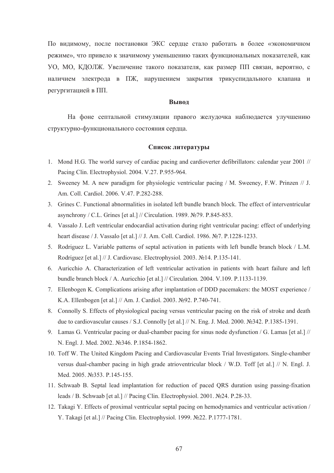По видимому, после постановки ЭКС сердце стало работать в более «экономичном режиме», что привело к значимому уменьшению таких функциональных показателей, как УО, МО, КДОЛЖ. Увеличение такого показателя, как размер ПП связан, вероятно, с наличием электрода в ПЖ, нарушением закрытия трикуспидального клапана и регургитацией в ПП.

## **Вывол**

На фоне септальной стимуляции правого желудочка наблюдается улучшению структурно-функционального состояния сердца.

## Список литературы

- 1. Mond H.G. The world survey of cardiac pacing and cardioverter defibrillators: calendar year 2001 // Pacing Clin. Electrophysiol. 2004. V.27. P.955-964.
- 2. Sweeney M. A new paradigm for physiologic ventricular pacing / M. Sweeney, F.W. Prinzen // J. Am. Coll. Cardiol. 2006. V.47. P.282-288.
- 3. Grines C. Functional abnormalities in isolated left bundle branch block. The effect of interventricular asynchrony / C.L. Grines [et al.] // Circulation. 1989.  $\mathcal{N}$ 279. P.845-853.
- 4. Vassalo J. Left ventricular endocardial activation during right ventricular pacing: effect of underlying heart disease / J. Vassalo [et al.] // J. Am. Coll. Cardiol. 1986. Nº7. P.1228-1233.
- 5. Rodriguez L. Variable patterns of septal activation in patients with left bundle branch block / L.M. Rodriguez [et al.] // J. Cardiovasc. Electrophysiol. 2003. №14. P.135-141.
- 6. Auricchio A. Characterization of left ventricular activation in patients with heart failure and left bundle branch block / A. Auricchio [et al.] // Circulation. 2004. V.109. P.1133-1139.
- 7. Ellenbogen K. Complications arising after implantation of DDD pacemakers: the MOST experience / K.A. Ellenbogen [et al.] // Am. J. Cardiol. 2003. Nº92. P.740-741.
- 8. Connolly S. Effects of physiological pacing versus ventricular pacing on the risk of stroke and death due to cardiovascular causes / S.J. Connolly [et al.] // N. Eng. J. Med. 2000.  $\mathcal{N}\subseteq$  342. P.1385-1391.
- 9. Lamas G. Ventricular pacing or dual-chamber pacing for sinus node dysfunction / G. Lamas [et al.] // N. Engl. J. Med. 2002. No. 346. P. 1854-1862.
- 10. Toff W. The United Kingdom Pacing and Cardiovascular Events Trial Investigators. Single-chamber versus dual-chamber pacing in high grade atrioventricular block / W.D. Toff [et al.] // N. Engl. J. Med. 2005. No.353. P.145-155.
- 11. Schwaab B. Septal lead implantation for reduction of paced QRS duration using passing-fixation leads / B. Schwaab [et al.] // Pacing Clin. Electrophysiol. 2001. No24. P.28-33.
- 12. Takagi Y. Effects of proximal ventricular septal pacing on hemodynamics and ventricular activation / Y. Takagi [et al.] // Pacing Clin. Electrophysiol. 1999. №22. P.1777-1781.